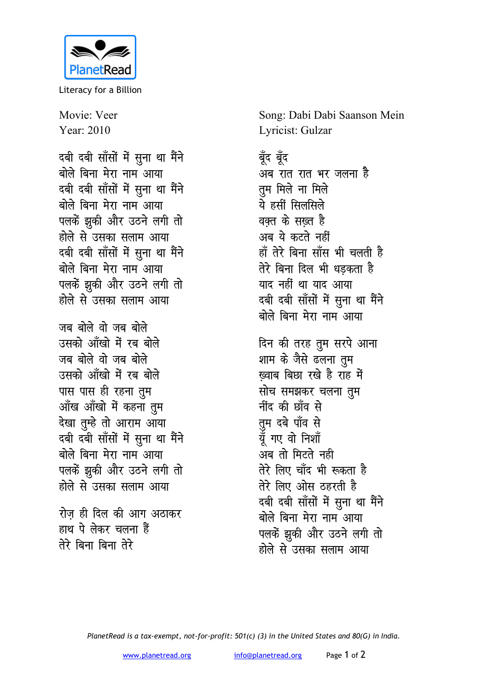

Literacy for a Billion

Movie: Veer Year: 2010

दबी दबी साँसों में सुना था मैंने बोले बिना मेरा नाम आया दबी दबी साँसों में सुना था मैंने बोले बिना मेरा नाम आया पलकें झूकी और उठने लगी तो होले से उसका सलाम आया दबी दबी साँसों में सुना था मैंने बोले बिना मेरा नाम आया पलकें झकी और उठने लगी तो होले से उसका सलाम आया

जब बोले वो जब बोले उसको आँखो में रब बोले जब बोले वो जब बोले उसको आँखो में रब बोले पास पास ही रहना तुम आँख आँखो में कहना तुम देखा तुम्हे तो आराम आया दबी दबी साँसों में सुना था मैंने बोले बिना मेरा नाम आया पलकें झकी और उठने लगी तो होले से उसका सलाम आया

रोज ही दिल की आग अठाकर हाथ पे लेकर चलना हैं तेरे बिना बिना तेरे

Song: Dabi Dabi Saanson Mein Lyricist: Gulzar

बॅद बॅद अब रात रात भर जलना है तूम मिले ना मिले ये हसीं सिलसिले वक्त के सख्त है अब ये कटते नहीं हाँ तेरे बिना साँस भी चलती है तेरे बिना दिल भी धडकता है याद नहीं था याद आया दबी दबी साँसों में सुना था मैंने बोले बिना मेरा नाम आया

दिन की तरह तुम सरपे आना शाम के जैसे ढलना तुम ख्वाब बिछा रखे है राह में सोच समझकर चलना तुम नींद की छाँव से तुम दबे पाँव से यूँ गए वो निशॉ अब तो मिटते नही तेरे लिए चाँद भी रूकता है तेरे लिए ओस ठहरती है दबी दबी साँसों में सुना था मैंने बोले बिना मेरा नाम आया पलकें झूकी और उठने लगी तो होले से उसका सलाम आया

PlanetRead is a tax-exempt, not-for-profit: 501(c) (3) in the United States and 80(G) in India.